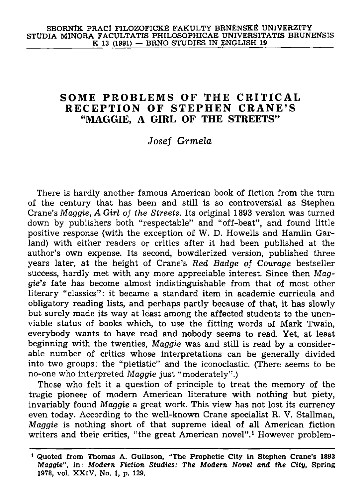## **SOME PROBLEMS OF THE CRITICAL RECEPTIO N OF STEPHE N CRANE' S "MAGGIE, A GIRL OF THE STREETS"**

## *Josef Grmela*

**There is hardly another famous American book of fiction from the turn of the century that has been and still is so controversial as Stephen Crane's** *Maggie, A Girl of the Streets.* **Its original 1893 version was turned down by publishers both "respectable" and "off-beat", and found little positive response (with the exception of W. D. Howells and Hamlin Garland) with either readers or critics after it had been published at the author's own expense. Its second, bowdlerized version, published three years later, at the height of Crane's** *Red Badge of Courage* **bestseller success, hardly met with any more appreciable interest. Since then** *Maggie's* **fate has become almost indistinguishable from that of most other literary "classics": it became a standard item in academic curricula and obligatory reading lists, and perhaps partly because of that, it has slowly but surely made its way at least among the affected students to the unenviable status of books which, to use the fitting words of Mark Twain, everybody wants to have read and nobody seems to read. Yet, at least beginning with the twenties,** *Maggie* **was and still is read by a considerable number of critics whose interpretations can be generally divided into two groups: the "pietistic" and the iconoclastic. (There seems to be no-one who interpreted** *Maggie* **just "moderately".)** 

**These who felt it a question of principle to treat the memory of the tragic pioneer of modern American literature with nothing but piety, invariably found** *Maggie* **a great work. This view has not lost its currency even today. According to the well-known Crane specialist R. V. Stallman,**  *Maggie* **is nothing short of that supreme ideal of all American fiction writers and their critics, "the great American novel".<sup>1</sup> However problem-**

**<sup>1</sup> Quoted from Thomas A. Gullason, "The Prophetic City in Stephen Crane's 1893**  *Maggie",* **in:** *Modern Fiction Studies: The Modern Novel and the City,* **Spring 1978, vol. XXIV, No. 1, p. 129.**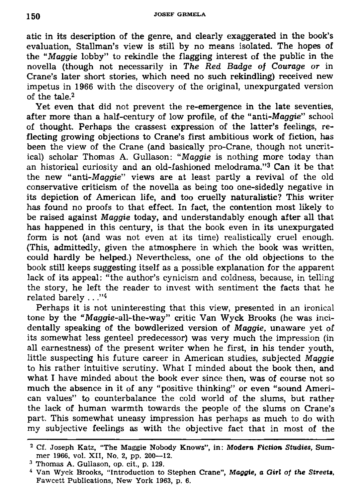**atic in its description of the genre, and clearly exaggerated in the book's evaluation, Stallman's view is still by no means isolated. The hopes of the** *"Maggie* **lobby" to rekindle the flagging interest of the public in the novella (though not necessarily in** *The Red Badge of Courage or* **in Crane's later short stories, which need no such rekindling) received new impetus in 1966 with the discovery of the original, unexpurgated version of the tale.<sup>2</sup>**

**Yet even that did not prevent the re-emergence in the late seventies, after more than a half-century of low profile, of the "anti-Maggie" school of thought. Perhaps the crassest expression of the latter's feelings, reflecting growing objections to Crane's first ambitious work of fiction, has been the view of the Crane (and basically pro-Crane, though not uncritical) scholar Thomas A. Gullason:** *"Maggie* **is nothing more today than an historical curiosity and an old-fashioned melodrama."<sup>3</sup> Can it be that the new "anti-Maggie" views are at least partly a revival of the old conservative criticism of the novella as being too one-sidedly negative in its depiction of American life, and too cruelly naturalistic? This writer has found no proofs to that effect. In fact, the contention most likely to be raised against** *Maggie* **today, and understandably enough after all that has happened in this century, is that the book even in its unexpurgated form is not (and was not even at its time) realistically cruel enough. (This, admittedly, given the atmosphere in which the book was written, could hardly be helped.) Nevertheless, one of the old objections to the book still keeps suggesting itself as a possible explanation for the apparent lack of its appeal: "the author's cynicism and coldness, because, in telling the story, he left the reader to invest with sentiment the facts that he related barely . . ."<sup>4</sup>**

**Perhaps it is not uninteresting that this view, presented in an ironical tone by the "Maggie-all-the-way" critic Van Wyck Brooks (he was incidentally speaking of the bowdlerized version of** *Maggie,* **unaware yet of its somewhat less genteel predecessor) was very much the impression (in all earnestness) of the present writer when he first, in his tender youth, little suspecting his future career in American studies, subjected** *Maggie*  **to his rather intuitive scrutiny. What I minded about the book then, and what I have minded about the book ever since then, was of course not so much the absence in it of any "positive thinking" or even "sound American values" to counterbalance the cold world of the slums, but rather the lack of human warmth towards the people of the slums on Crane's part. This somewhat uneasy impression has perhaps as much to do with my subjective feelings as with the objective fact that in most of the** 

**<sup>2</sup> Cf. Joseph Katz, "The Maggie Nobody Knows", in: Modern Fiction Studies, Summer 1966. vol. XII, No. 2, pp. 200—12.** 

**<sup>3</sup> Thomas A. Gullason, op. cit., p. 129.** 

<sup>&</sup>lt;sup>4</sup> Van Wyck Brooks, "Introduction to Stephen Crane", *Maggie*, a Girl of the Streets, **Fawcett Publications, New York 1963, p. 6.**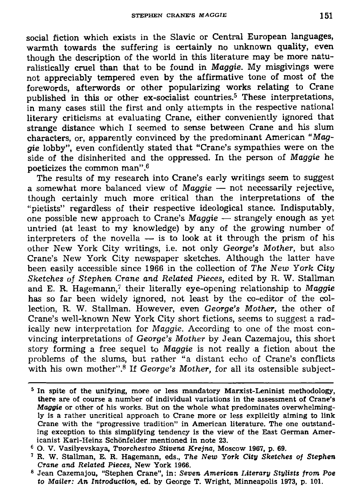**social fiction which exists in the Slavic or Central European languages, warmth towards the suffering is certainly no unknown quality, even though the description of the world in this literature may be more naturalistically cruel than that to be found in** *Maggie.* **My misgivings were not appreciably tempered even by the affirmative tone of most of the forewords, afterwords or other popularizing works relating to Crane published in this or other ex-socialist countries.<sup>5</sup> These interpretations, in many cases still the first and only attempts in the respective national literary criticisms at evaluating Crane, either conveniently ignored that strange distance which I seemed to sense between Crane and his slum characters, or, apparently convinced by the predominant American** *"Maggie* **lobby", even confidently stated that "Crane's sympathies were on the side of the disinherited and the oppressed. In the person of** *Maggie* **he poeticizes the common man".<sup>6</sup>**

**The results of my research into Crane's early writings seem to suggest a somewhat more balanced view of** *Maggie* **— not necessarily rejective, though certainly much more critical than the interpretations of the "pietists" regardless of their respective ideological stance. Indisputably, one possible new approach to Crane's** *Maggie* **— strangely enough as yet untried (at least to my knowledge) by any of the growing number of interpreters of the novella — is to look at it through the prism of his other New York City writings, i.e. not only** *George's Mother,* **but also Crane's New York City newspaper sketches. Although the latter have been easily accessible since 1966 in the collection of** *The New York City Sketches of Stephen Crane and Related Pieces,* **edited by R. W. Stallman and E. R. Hagemann,<sup>7</sup> their literally eye-opening relationship to** *Maggie*  **has so far been widely ignored, not least by the co-editor of the collection, R. W. Stallman. However, even** *George's Mother,* **the other of Crane's well-known New York City short fictions, seems to suggest a radically new interpretation for** *Maggie.* **According to one of the most convincing interpretations of** *George's Mother* **by Jean Cazemajou, this short story forming a free sequel to** *Maggie* **is not really a fiction about the problems of the slums, but rather "a distant echo of Crane's conflicts with his own mother".<sup>8</sup> If** *George's Mother,* **for all its ostensible subject-**

<sup>&</sup>lt;sup>5</sup> In spite of the unifying, more or less mandatory Marxist-Leninist methodology, **there are of course a number of individual variations in the assessment of Crane's**  *Maggie* **or other of his works. But on the whole what predominates overwhelmingly is a rather uncritical approach to Crane more or less explicitly aiming to link Crane with the "progressive tradition" in American literature. The one outstanding exception to this simplifying tendency is the view of the East German Americanist Karl-Heinz Schonfelder mentioned in note 23.** 

**<sup>6</sup> O. V. Vasilyevskaya,** *Tvorchestvo Stivena Krejna,* **Moscow 1967, p. 69.** 

**<sup>7</sup> R. W. Stallman, E. R. Hagemann, eds.,** *The New York City Sketches of Stephen Crane and Related Pieces,* **New York 1966.** 

**<sup>8</sup> Jean Cazemajou, "Stephen Crane", in:** *Seven American Literary Stylists from Poe to Mailer: An Introduction,* **ed. by George T. Wright, Minneapolis 1973, p. 101.**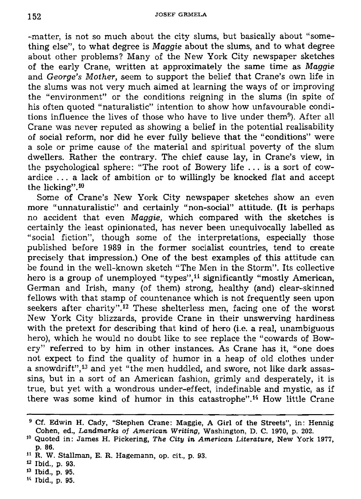**-matter, is not so much about the city slums, but basically about "something else", to what degree is** *Maggie* **about the slums, and to what degree about other problems? Many of the New York City newspaper sketches of the early Crane, written at approximately the same time as** *Maggie*  **and** *George's Mother,* **seem to support the belief that Crane's own life in the slums was not very much aimed at learning the ways of or improving the "environment" or the conditions reigning in the slums (in spite of his often quoted "naturalistic" intention to show how unfavourable conditions influence the lives of those who have to live under them<sup>9</sup> ). After all**  Crane was never reputed as showing a belief in the potential realisability **of social reform, nor did he ever fully believe that the "conditions" were a sole or prime cause of the material and spiritual poverty of the slum dwellers. Rather the contrary. The chief cause lay, in Crane's view, in the psychological sphere: "The root of Bowery life .. . is a sort of cowardice .. . a lack of ambition or to willingly be knocked flat and accept the licking".<sup>10</sup>**

**Some of Crane's New York City newspaper sketches show an even more "unnaturalistic" and certainly "non-social" attitude. (It is perhaps no accident that even** *Maggie,* **which compared with the sketches is certainly the least opinionated, has never been unequivocally labelled as "social fiction", though some of the interpretations, especially those published before 1989 in the former socialist countries, tend to create precisely that impression.) One of the best examples of this attitude can be found in the well-known sketch "The Men in the Storm". Its collective hero is a group of unemployed "types",<sup>11</sup> significantly "mostly American, German and Irish, many (of them) strong, healthy (and) clear-skinned fellows with that stamp of countenance which is not frequently seen upon seekers after charity".<sup>12</sup> These shelterless men, facing one of the worst New York City blizzards, provide Crane in their unswerving hardiness with the pretext for describing that kind of hero (i.e. a real, unambiguous hero), which he would no doubt like to see replace the "cowards of Bowery" referred to by him in other instances. As Crane has it, "one does not expect to find the quality of humor in a heap of old clothes under a snowdrift",<sup>13</sup> and yet "the men huddled, and swore, not like dark assassins, but in a sort of an American fashion, grimly and desperately, it is true, but yet with a wondrous under-effect, indefinable and mystic, as if**  there was some kind of humor in this catastrophe".<sup>14</sup> How little Crane

**1 4 Ibid., p. 95.** 

**<sup>9</sup> Cf. Edwin H. Cady, "Stephen Crane: Maggie, A Girl of the Streets", in: Hennig Cohen, ed.,** *Landmarks of American Writing,* **Washington, D. C. 1970, p. 202.** 

**<sup>1</sup> 0 Quoted in: James H. Pickering,** *The City in American Literature,* **New York 1977, p. 86.** 

**<sup>1</sup> 1 R. W. Stallman, E. R. Hagemann, op. cit., p. 93.** 

**u Ibid., p. 93.** 

**<sup>1</sup> 3 Ibid., p. 95.**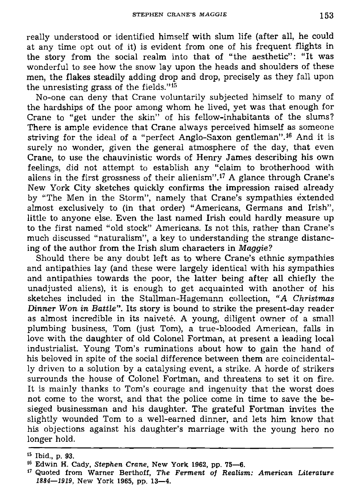**really understood or identified himself with slum life (after all, he could at any time opt out of it) is evident from one of his frequent flights in the story from the social realm into that of "the aesthetic": "It was wonderful to see how the snow lay upon the heads and shoulders of these men, the flakes steadily adding drop and drop, precisely as they fall upon the unresisting grass of the fields."<sup>15</sup>**

**No-one can deny that Crane voluntarily subjected himself to many of the hardships of the poor among whom he lived, yet was that enough for Crane to "get under the skin" of his fellow-inhabitants of the slums? There is ample evidence that Crane always perceived himself as someone striving for the ideal of a "perfect Anglo-Saxon gentleman".<sup>16</sup> And it is surely no wonder, given the general atmosphere of the day, that even Crane, to use the chauvinistic words of Henry James describing his own feelings, did not attempt to establish any "claim to brotherhood with aliens in the first grossness of their alienism".<sup>17</sup> A glance through Crane's New York City sketches quickly confirms the impression raised already by "The Men in the Storm", namely that Crane's sympathies extended almost exclusively to (in that order) "Americans, Germans and Irish", little to anyone else. Even the last named Irish could hardly measure up to the first named "old stock" Americans. Is not this, rather than Crane's much discussed "naturalism", a key to understanding the strange distancing of the author from the Irish slum characters in** *Maggie?* 

**Should there be any doubt left as to where Crane's ethnic sympathies and antipathies lay (and these were largely identical with his sympathies and antipathies towards the poor, the latter being after all chiefly the unadjusted aliens), it is enough to get acquainted with another of his sketches included in the Stallman-Hagemann collection,** *"A Christmas Dinner Won in Battle".* **Its story is bound to strike the present-day reader**  as almost incredible in its naiveté. A young, diligent owner of a small **plumbing business, Tom (just Tom), a true-blooded American, falls in love with the daughter of old Colonel Fortman, at present a leading local industrialist. Young Tom's ruminations about how to gain the hand of his beloved in spite of the social difference between them are coincidentally driven to a solution by a catalysing event, a strike. A horde of strikers surrounds the house of Colonel Fortman, and threatens to set it on fire. It is mainly thanks to Tom's courage and ingenuity that the worst does not come to the worst, and that the police come in time to save the besieged businessman and his daughter. The grateful Fortman invites the slightly wounded Tom to a well-earned dinner, and lets him know that his objections against his daughter's marriage with the young hero no longer hold.** 

**<sup>1</sup> 5 Ibid., p. 93.** 

**<sup>1</sup> 6 Edwin H. Cady,** *Stephen Crane,* **New York 1962, pp. 75—6.** 

**<sup>1</sup> 7 Quoted from Warner Berthoff,** *The Ferment of Realism: American Literature 1884—1919,* **New York 1965, pp. 13—4.**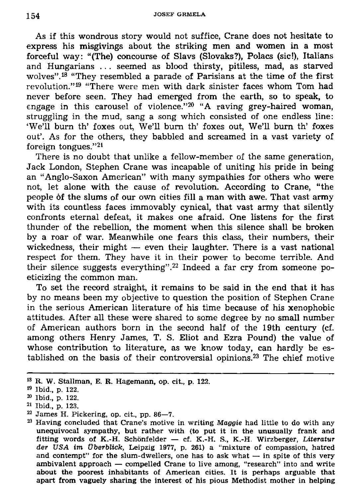**As if this wondrous story would not suffice, Crane does not hesitate to express his misgivings about the striking men and women in a most forceful way: "(The) concourse of Slavs (Slovaks?), Polacs (sic!), Italians and Hungarians . . . seemed as blood thirsty, pitiless, mad, as starved wolves".<sup>18</sup> "They resembled a parade of Parisians at the time of the first revolution."<sup>19</sup> "There were men with dark sinister faces whom Tom had never before seen. They had emerged from the earth, so to speak, to engage in this carousel of violence."<sup>20</sup> "A raving grey-haired woman, struggling in the mud, sang a song which consisted of one endless line: 'We'll burn th' foxes out, We'll burn th' foxes out, We'll burn th' foxes out'. As for the others, they babbled and screamed in a vast variety of foreign tongues."<sup>21</sup>**

**There is no doubt that unlike a fellow-member of the same generation, Jack London, Stephen Crane was incapable of uniting his pride in being an "Anglo-Saxon American" with many sympathies for others who were not, let alone with the cause of revolution. According to Crane, "the people of the slums of our own cities fill a man with awe. That vast army with its countless faces immovably cynical, that vast army that silently confronts eternal defeat, it makes one afraid. One listens for the first thunder of the rebellion, the moment when this silence shall be broken by a roar of war. Meanwhile one fears this class, their numbers, their wickedness, their might — even their laughter. There is a vast national respect for them. They have it in their power to become terrible. And their silence suggests everything".<sup>22</sup> Indeed a far cry from someone poeticizing the common man.** 

**To set the record straight, it remains to be said in the end that it has by no means been my objective to question the position of Stephen Crane in the serious American literature of his time because of his xenophobic attitudes. After all these were shared to some degree by no small number of American authors born in the second half of the 19th century (cf. among others Henry James, T. S. Eliot and Ezra Pound) the value of whose contribution to literature, as we know today, can hardly be established on the basis of their controversial opinions.<sup>23</sup> The chief motive** 

**<sup>1</sup> 3 R. W. Stallman, E. R. Hagemann, op. cit., p. 122.** 

**<sup>1</sup> 9 Ibid., p. 122.** 

**<sup>2</sup> 0 Ibid., p. 122.** 

**<sup>2</sup> 1 Ibid., p. 123.** 

**<sup>2</sup> 2 James H. Pickering, op. cit., pp. 86—7.** 

**<sup>2</sup> 3 Having concluded that Crane's motive in writing** *Maggie* **had little to do with any unequivocal sympathy, but rather with (to put it in the unusually frank and fitting words of K.-H. Schonfelder — cf. K.-H. S., K.-H. Wirzberger,** *Literatur der USA im Vberblick,* **Leipzig 1977, p. 261) a "mixture of compassion, hatred and contempt" for the slum-dwellers, one has to ask what — in spite of this very ambivalent approach — compelled Crane to live among, "research" into and write about the poorest inhabitants of American cities. It is perhaps arguable that apart from vaguely sharing the interest of his pious Methodist mother in helping**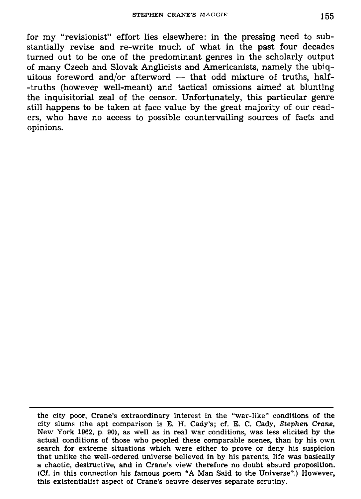**for my "revisionist" effort lies elsewhere: in the pressing need to substantially revise and re-write much of what in the past four decades turned out to be one of the predominant genres in the scholarly output of many Czech and Slovak Anglicists and Americanists, namely the ubiquitous foreword and/or afterword — that odd mixture of truths, half- -truths (however well-meant) and tactical omissions aimed at blunting the inquisitorial zeal of the censor. Unfortunately, this particular genre still happens to be taken at face value by the great majority of our readers, who have no access to possible countervailing sources of facts and opinions.** 

**the city poor, Crane's extraordinary interest in the "war-like" conditions of the city slums (the apt comparison is E. H. Cady's; cf. E. C. Cady,** *Stephen Crane,*  **New York 1962, p. 90), as well as in real war conditions, was less elicited by the actual conditions of those who peopled these comparable scenes, than by his own search for extreme situations which were either to prove or deny his suspicion that unlike the well-ordered universe believed in by his parents, life was basically a chaotic, destructive, and in Crane's view therefore no doubt absurd proposition. (Cf. in this connection his famous poem "A Man Said to the Universe".) However, this existentialist aspect of Crane's oeuvre deserves separate scrutiny.**